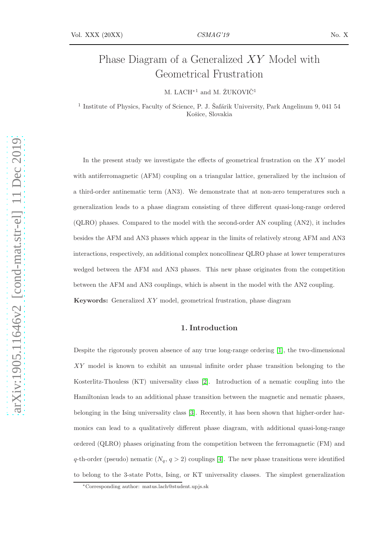# Phase Diagram of a Generalized XY Model with Geometrical Frustration

M. LACH<sup>\*1</sup> and M. ŽUKOVIČ<sup>1</sup>

<sup>1</sup> Institute of Physics, Faculty of Science, P. J. Šafárik University, Park Angelinum 9, 041 54 Košice, Slovakia

In the present study we investigate the effects of geometrical frustration on the XY model with antiferromagnetic (AFM) coupling on a triangular lattice, generalized by the inclusion of a third-order antinematic term (AN3). We demonstrate that at non-zero temperatures such a generalization leads to a phase diagram consisting of three different quasi-long-range ordered (QLRO) phases. Compared to the model with the second-order AN coupling (AN2), it includes besides the AFM and AN3 phases which appear in the limits of relatively strong AFM and AN3 interactions, respectively, an additional complex noncollinear QLRO phase at lower temperatures wedged between the AFM and AN3 phases. This new phase originates from the competition between the AFM and AN3 couplings, which is absent in the model with the AN2 coupling. Keywords: Generalized XY model, geometrical frustration, phase diagram

### 1. Introduction

Despite the rigorously proven absence of any true long-range ordering [\[1\]](#page-5-0), the two-dimensional XY model is known to exhibit an unusual infinite order phase transition belonging to the Kosterlitz-Thouless (KT) universality class [\[2\]](#page-5-1). Introduction of a nematic coupling into the Hamiltonian leads to an additional phase transition between the magnetic and nematic phases, belonging in the Ising universality class [\[3\]](#page-5-2). Recently, it has been shown that higher-order harmonics can lead to a qualitatively different phase diagram, with additional quasi-long-range ordered (QLRO) phases originating from the competition between the ferromagnetic (FM) and q-th-order (pseudo) nematic  $(N_q, q > 2)$  couplings [\[4\]](#page-5-3). The new phase transitions were identified to belong to the 3-state Potts, Ising, or KT universality classes. The simplest generalization

<sup>∗</sup>Corresponding author: matus.lach@student.upjs.sk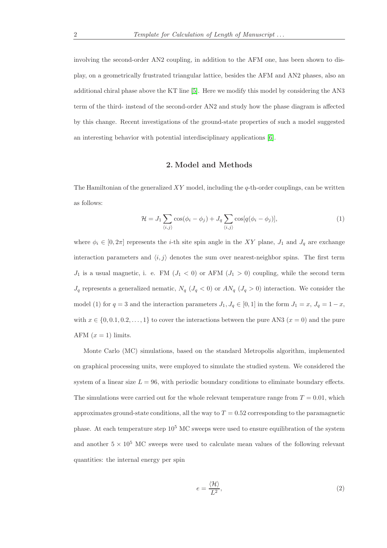involving the second-order AN2 coupling, in addition to the AFM one, has been shown to display, on a geometrically frustrated triangular lattice, besides the AFM and AN2 phases, also an additional chiral phase above the KT line [\[5\]](#page-5-4). Here we modify this model by considering the AN3 term of the third- instead of the second-order AN2 and study how the phase diagram is affected by this change. Recent investigations of the ground-state properties of such a model suggested an interesting behavior with potential interdisciplinary applications [\[6\]](#page-5-5).

#### 2. Model and Methods

The Hamiltonian of the generalized  $XY$  model, including the q-th-order couplings, can be written as follows:

$$
\mathcal{H} = J_1 \sum_{\langle i,j \rangle} \cos(\phi_i - \phi_j) + J_q \sum_{\langle i,j \rangle} \cos[q(\phi_i - \phi_j)], \tag{1}
$$

where  $\phi_i \in [0, 2\pi]$  represents the *i*-th site spin angle in the XY plane,  $J_1$  and  $J_q$  are exchange interaction parameters and  $\langle i, j \rangle$  denotes the sum over nearest-neighbor spins. The first term  $J_1$  is a usual magnetic, i. e. FM  $(J_1 < 0)$  or AFM  $(J_1 > 0)$  coupling, while the second term  $J_q$  represents a generalized nematic,  $N_q$  ( $J_q$  < 0) or  $AN_q$  ( $J_q$  > 0) interaction. We consider the model (1) for  $q = 3$  and the interaction parameters  $J_1, J_q \in [0, 1]$  in the form  $J_1 = x, J_q = 1 - x$ , with  $x \in \{0, 0.1, 0.2, \ldots, 1\}$  to cover the interactions between the pure AN3  $(x = 0)$  and the pure AFM  $(x = 1)$  limits.

Monte Carlo (MC) simulations, based on the standard Metropolis algorithm, implemented on graphical processing units, were employed to simulate the studied system. We considered the system of a linear size  $L = 96$ , with periodic boundary conditions to eliminate boundary effects. The simulations were carried out for the whole relevant temperature range from  $T = 0.01$ , which approximates ground-state conditions, all the way to  $T = 0.52$  corresponding to the paramagnetic phase. At each temperature step  $10^5$  MC sweeps were used to ensure equilibration of the system and another  $5 \times 10^5$  MC sweeps were used to calculate mean values of the following relevant quantities: the internal energy per spin

$$
e = \frac{\langle \mathcal{H} \rangle}{L^2},\tag{2}
$$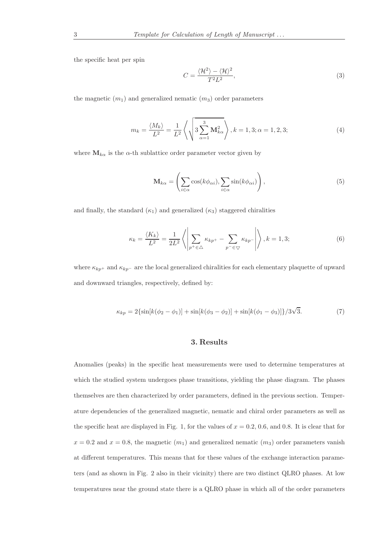the specific heat per spin

$$
C = \frac{\langle \mathcal{H}^2 \rangle - \langle \mathcal{H} \rangle^2}{T^2 L^2},\tag{3}
$$

the magnetic  $(m_1)$  and generalized nematic  $(m_3)$  order parameters

$$
m_k = \frac{\langle M_k \rangle}{L^2} = \frac{1}{L^2} \left\langle \sqrt{3 \sum_{\alpha=1}^3 \mathbf{M}_{k\alpha}^2} \right\rangle, k = 1, 3; \alpha = 1, 2, 3; \tag{4}
$$

where  $M_{k\alpha}$  is the  $\alpha$ -th sublattice order parameter vector given by

$$
\mathbf{M}_{k\alpha} = \left(\sum_{i \in \alpha} \cos(k\phi_{\alpha i}), \sum_{i \in \alpha} \sin(k\phi_{\alpha i})\right),\tag{5}
$$

and finally, the standard  $(\kappa_1)$  and generalized  $(\kappa_3)$  staggered chiralities

$$
\kappa_k = \frac{\langle K_k \rangle}{L^2} = \frac{1}{2L^2} \left\langle \left| \sum_{p^+ \in \Delta} \kappa_{kp^+} - \sum_{p^- \in \nabla} \kappa_{kp^-} \right| \right\rangle, k = 1, 3; \tag{6}
$$

where  $\kappa_{kp}$ + and  $\kappa_{kp}$ - are the local generalized chiralities for each elementary plaquette of upward and downward triangles, respectively, defined by:

$$
\kappa_{kp} = 2\{\sin[k(\phi_2 - \phi_1)] + \sin[k(\phi_3 - \phi_2)] + \sin[k(\phi_1 - \phi_3)]\}/3\sqrt{3}.
$$
 (7)

## 3. Results

Anomalies (peaks) in the specific heat measurements were used to determine temperatures at which the studied system undergoes phase transitions, yielding the phase diagram. The phases themselves are then characterized by order parameters, defined in the previous section. Temperature dependencies of the generalized magnetic, nematic and chiral order parameters as well as the specific heat are displayed in Fig. 1, for the values of  $x = 0.2, 0.6$ , and 0.8. It is clear that for  $x = 0.2$  and  $x = 0.8$ , the magnetic  $(m_1)$  and generalized nematic  $(m_3)$  order parameters vanish at different temperatures. This means that for these values of the exchange interaction parameters (and as shown in Fig. 2 also in their vicinity) there are two distinct QLRO phases. At low temperatures near the ground state there is a QLRO phase in which all of the order parameters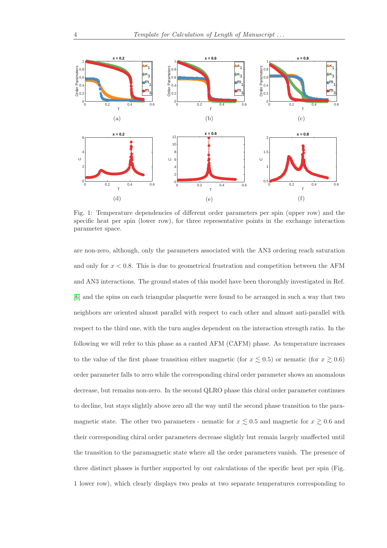

Fig. 1: Temperature dependencies of different order parameters per spin (upper row) and the specific heat per spin (lower row), for three representative points in the exchange interaction parameter space.

are non-zero, although, only the parameters associated with the AN3 ordering reach saturation and only for  $x < 0.8$ . This is due to geometrical frustration and competition between the AFM and AN3 interactions. The ground states of this model have been thoroughly investigated in Ref. [\[6\]](#page-5-5) and the spins on each triangular plaquette were found to be arranged in such a way that two neighbors are oriented almost parallel with respect to each other and almost anti-parallel with respect to the third one, with the turn angles dependent on the interaction strength ratio. In the following we will refer to this phase as a canted AFM (CAFM) phase. As temperature increases to the value of the first phase transition either magnetic (for  $x \leq 0.5$ ) or nematic (for  $x \geq 0.6$ ) order parameter falls to zero while the corresponding chiral order parameter shows an anomalous decrease, but remains non-zero. In the second QLRO phase this chiral order parameter continues to decline, but stays slightly above zero all the way until the second phase transition to the paramagnetic state. The other two parameters - nematic for  $x \lesssim 0.5$  and magnetic for  $x \gtrsim 0.6$  and their corresponding chiral order parameters decrease slightly but remain largely unaffected until the transition to the paramagnetic state where all the order parameters vanish. The presence of three distinct phases is further supported by our calculations of the specific heat per spin (Fig. 1 lower row), which clearly displays two peaks at two separate temperatures corresponding to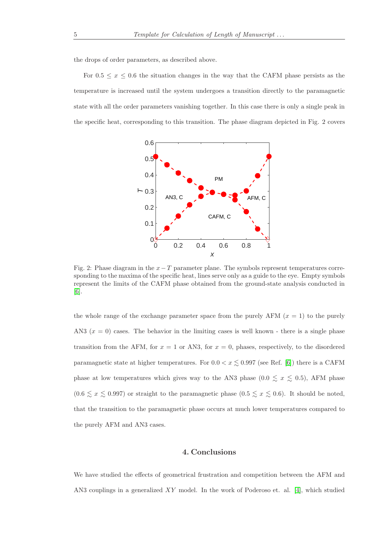the drops of order parameters, as described above.

For  $0.5 \leq x \leq 0.6$  the situation changes in the way that the CAFM phase persists as the temperature is increased until the system undergoes a transition directly to the paramagnetic state with all the order parameters vanishing together. In this case there is only a single peak in the specific heat, corresponding to this transition. The phase diagram depicted in Fig. 2 covers



Fig. 2: Phase diagram in the  $x-T$  parameter plane. The symbols represent temperatures corresponding to the maxima of the specific heat, lines serve only as a guide to the eye. Empty symbols represent the limits of the CAFM phase obtained from the ground-state analysis conducted in [\[6\]](#page-5-5).

the whole range of the exchange parameter space from the purely AFM  $(x = 1)$  to the purely AN3  $(x = 0)$  cases. The behavior in the limiting cases is well known - there is a single phase transition from the AFM, for  $x = 1$  or AN3, for  $x = 0$ , phases, respectively, to the disordered paramagnetic state at higher temperatures. For  $0.0 < x \leq 0.997$  (see Ref. [\[6\]](#page-5-5)) there is a CAFM phase at low temperatures which gives way to the AN3 phase  $(0.0 \le x \le 0.5)$ , AFM phase  $(0.6 \le x \le 0.997)$  or straight to the paramagnetic phase  $(0.5 \le x \le 0.6)$ . It should be noted, that the transition to the paramagnetic phase occurs at much lower temperatures compared to the purely AFM and AN3 cases.

## 4. Conclusions

We have studied the effects of geometrical frustration and competition between the AFM and AN3 couplings in a generalized XY model. In the work of Poderoso et. al. [\[4\]](#page-5-3), which studied